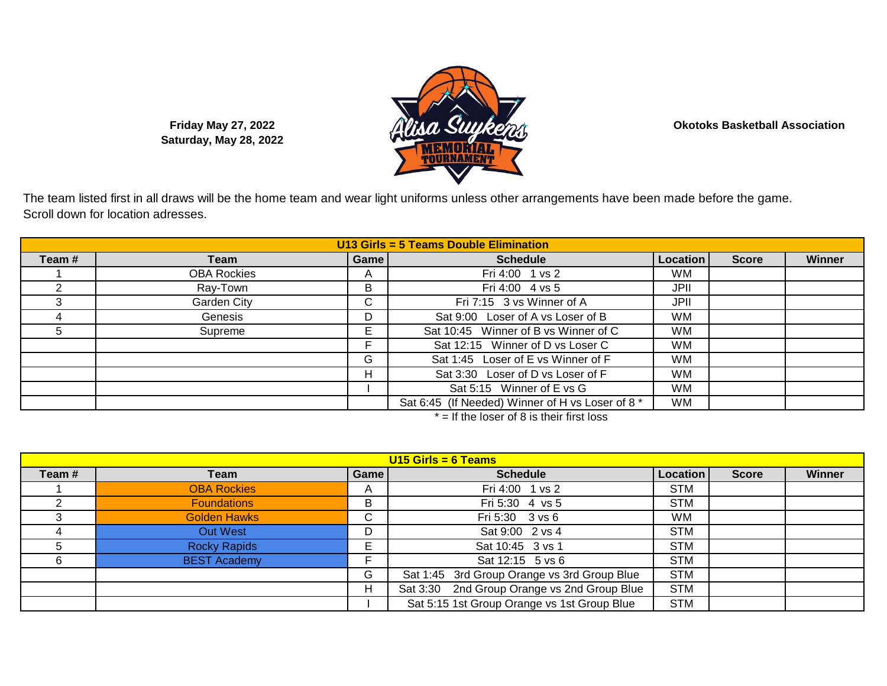**Okotoks Basketball Association**

**Friday May 27, 2022 Saturday, May 28, 2022**

The team listed first in all draws will be the home team and wear light uniforms unless other arrangements have been made before the game. Scroll down for location adresses.

| U13 Girls = 5 Teams Double Elimination |                    |             |                                                  |           |              |        |  |
|----------------------------------------|--------------------|-------------|--------------------------------------------------|-----------|--------------|--------|--|
| Team#                                  | Team               | <b>Game</b> | <b>Schedule</b>                                  | Location  | <b>Score</b> | Winner |  |
|                                        | <b>OBA Rockies</b> | A           | Fri 4:00 1 vs 2                                  | <b>WM</b> |              |        |  |
|                                        | Ray-Town           | B           | Fri 4:00 4 vs 5                                  | JPII      |              |        |  |
|                                        | Garden City        | C.          | Fri 7:15 3 vs Winner of A                        | JPII      |              |        |  |
|                                        | Genesis            | D           | Sat 9:00 Loser of A vs Loser of B                | <b>WM</b> |              |        |  |
| b                                      | Supreme            | Е           | Sat 10:45 Winner of B vs Winner of C             | <b>WM</b> |              |        |  |
|                                        |                    | Е           | Sat 12:15 Winner of D vs Loser C                 | <b>WM</b> |              |        |  |
|                                        |                    | G           | Sat 1:45 Loser of E vs Winner of F               | <b>WM</b> |              |        |  |
|                                        |                    | н           | Sat 3:30 Loser of D vs Loser of F                | <b>WM</b> |              |        |  |
|                                        |                    |             | Sat 5:15 Winner of E vs G                        | <b>WM</b> |              |        |  |
|                                        |                    |             | Sat 6:45 (If Needed) Winner of H vs Loser of 8 * | <b>WM</b> |              |        |  |

 $* =$  If the loser of 8 is their first loss

| $U15$ Girls = 6 Teams |                     |              |                                             |            |              |        |  |
|-----------------------|---------------------|--------------|---------------------------------------------|------------|--------------|--------|--|
| Team#                 | Team                | Game         | <b>Schedule</b>                             | Location   | <b>Score</b> | Winner |  |
|                       | <b>OBA Rockies</b>  | $\mathsf{A}$ | Fri 4:00 1 vs 2                             | <b>STM</b> |              |        |  |
|                       | <b>Foundations</b>  | B            | Fri 5:30 4 vs 5                             | <b>STM</b> |              |        |  |
|                       | <b>Golden Hawks</b> | C            | Fri 5:30 3 vs 6                             | WM         |              |        |  |
|                       | Out West            | D            | Sat 9:00 2 vs 4                             | <b>STM</b> |              |        |  |
|                       | <b>Rocky Rapids</b> | E.           | Sat 10:45 3 vs 1                            | <b>STM</b> |              |        |  |
|                       | <b>BEST Academy</b> |              | Sat 12:15 5 vs 6                            | <b>STM</b> |              |        |  |
|                       |                     | G            | Sat 1:45 3rd Group Orange vs 3rd Group Blue | <b>STM</b> |              |        |  |
|                       |                     | H            | Sat 3:30 2nd Group Orange vs 2nd Group Blue | <b>STM</b> |              |        |  |
|                       |                     |              | Sat 5:15 1st Group Orange vs 1st Group Blue | <b>STM</b> |              |        |  |

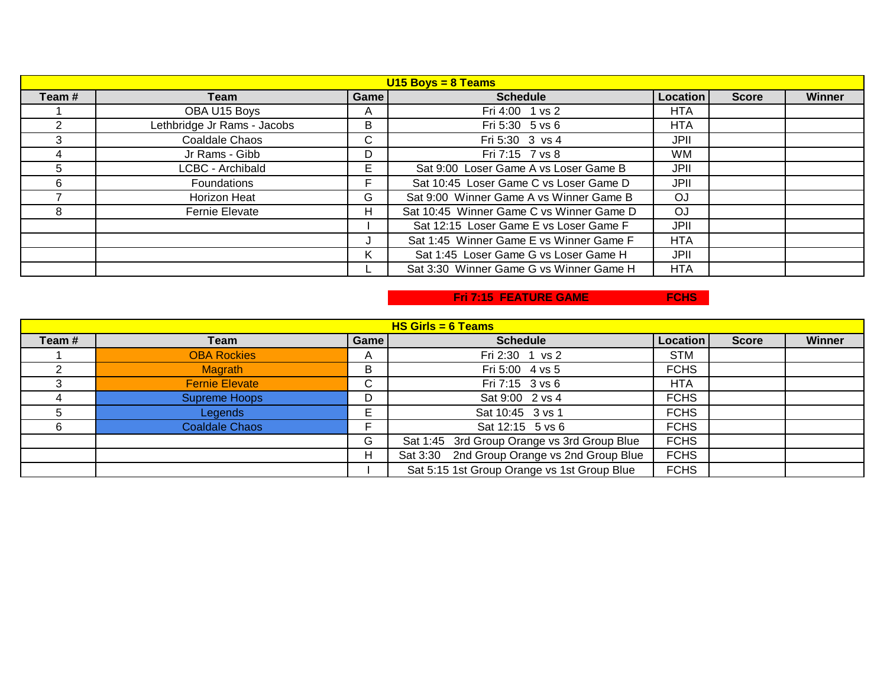| $U15$ Boys = 8 Teams |                             |      |                                          |                 |              |               |  |
|----------------------|-----------------------------|------|------------------------------------------|-----------------|--------------|---------------|--|
| Team #               | Team                        | Game | <b>Schedule</b>                          | <b>Location</b> | <b>Score</b> | <b>Winner</b> |  |
|                      | OBA U15 Boys                | A    | Fri 4:00 1 vs 2                          | <b>HTA</b>      |              |               |  |
|                      | Lethbridge Jr Rams - Jacobs | B    | Fri 5:30 5 vs 6                          | <b>HTA</b>      |              |               |  |
|                      | Coaldale Chaos              | C.   | Fri 5:30 3 vs 4                          | JPII            |              |               |  |
| 4                    | Jr Rams - Gibb              | D    | Fri 7:15 7 vs 8                          | <b>WM</b>       |              |               |  |
|                      | LCBC - Archibald            | F    | Sat 9:00 Loser Game A vs Loser Game B    | JPII            |              |               |  |
| հ                    | Foundations                 |      | Sat 10:45 Loser Game C vs Loser Game D   | JPII            |              |               |  |
|                      | Horizon Heat                | G    | Sat 9:00 Winner Game A vs Winner Game B  | OJ              |              |               |  |
|                      | Fernie Elevate              | н    | Sat 10:45 Winner Game C vs Winner Game D | OJ              |              |               |  |
|                      |                             |      | Sat 12:15 Loser Game E vs Loser Game F   | JPII            |              |               |  |
|                      |                             |      | Sat 1:45 Winner Game E vs Winner Game F  | <b>HTA</b>      |              |               |  |
|                      |                             | K.   | Sat 1:45 Loser Game G vs Loser Game H    | JPII            |              |               |  |
|                      |                             |      | Sat 3:30 Winner Game G vs Winner Game H  | <b>HTA</b>      |              |               |  |

## **Fri 7:15 FEATURE GAME FCHS**

| $HS$ Girls = 6 Teams |                       |      |                                             |             |              |               |  |  |
|----------------------|-----------------------|------|---------------------------------------------|-------------|--------------|---------------|--|--|
| Team#                | Team                  | Game | <b>Schedule</b>                             | Location    | <b>Score</b> | <b>Winner</b> |  |  |
|                      | <b>OBA Rockies</b>    | A    | Fri 2:30 1 vs 2                             | <b>STM</b>  |              |               |  |  |
|                      | <b>Magrath</b>        | B    | Fri 5:00 4 vs 5                             | <b>FCHS</b> |              |               |  |  |
|                      | <b>Fernie Elevate</b> | C    | Fri 7:15 3 vs 6                             | <b>HTA</b>  |              |               |  |  |
|                      | <b>Supreme Hoops</b>  | D    | Sat 9:00 2 vs 4                             | <b>FCHS</b> |              |               |  |  |
|                      | <b>Legends</b>        | E    | Sat 10:45 3 vs 1                            | <b>FCHS</b> |              |               |  |  |
|                      | <b>Coaldale Chaos</b> |      | Sat 12:15 5 vs 6                            | <b>FCHS</b> |              |               |  |  |
|                      |                       | G    | Sat 1:45 3rd Group Orange vs 3rd Group Blue | <b>FCHS</b> |              |               |  |  |
|                      |                       | H    | Sat 3:30 2nd Group Orange vs 2nd Group Blue | <b>FCHS</b> |              |               |  |  |
|                      |                       |      | Sat 5:15 1st Group Orange vs 1st Group Blue | <b>FCHS</b> |              |               |  |  |